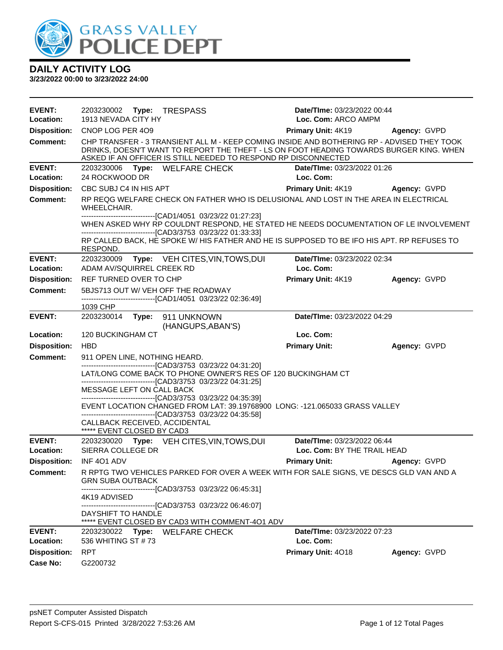

| <b>EVENT:</b>              | 2203230002 Type: TRESPASS                                                                                                                                                                                                                                                                                | Date/TIme: 03/23/2022 00:44              |              |
|----------------------------|----------------------------------------------------------------------------------------------------------------------------------------------------------------------------------------------------------------------------------------------------------------------------------------------------------|------------------------------------------|--------------|
| Location:                  | 1913 NEVADA CITY HY                                                                                                                                                                                                                                                                                      | Loc. Com: ARCO AMPM                      |              |
| <b>Disposition:</b>        | CNOP LOG PER 409                                                                                                                                                                                                                                                                                         | <b>Primary Unit: 4K19</b>                | Agency: GVPD |
| <b>Comment:</b>            | CHP TRANSFER - 3 TRANSIENT ALL M - KEEP COMING INSIDE AND BOTHERING RP - ADVISED THEY TOOK<br>DRINKS, DOESN'T WANT TO REPORT THE THEFT - LS ON FOOT HEADING TOWARDS BURGER KING. WHEN<br>ASKED IF AN OFFICER IS STILL NEEDED TO RESPOND RP DISCONNECTED                                                  |                                          |              |
| <b>EVENT:</b>              | 2203230006 Type: WELFARE CHECK                                                                                                                                                                                                                                                                           | Date/TIme: 03/23/2022 01:26              |              |
| Location:                  | 24 ROCKWOOD DR                                                                                                                                                                                                                                                                                           | Loc. Com:                                |              |
| <b>Disposition:</b>        | CBC SUBJ C4 IN HIS APT                                                                                                                                                                                                                                                                                   | Primary Unit: 4K19 Agency: GVPD          |              |
| <b>Comment:</b>            | RP REQG WELFARE CHECK ON FATHER WHO IS DELUSIONAL AND LOST IN THE AREA IN ELECTRICAL<br>WHEELCHAIR.                                                                                                                                                                                                      |                                          |              |
|                            | -------------------------------[CAD1/4051 03/23/22 01:27:23]<br>WHEN ASKED WHY RP COULDNT RESPOND, HE STATED HE NEEDS DOCUMENTATION OF LE INVOLVEMENT<br>--------------------[CAD3/3753_03/23/22_01:33:33]<br>RP CALLED BACK, HE SPOKE W/ HIS FATHER AND HE IS SUPPOSED TO BE IFO HIS APT. RP REFUSES TO |                                          |              |
|                            | RESPOND.                                                                                                                                                                                                                                                                                                 |                                          |              |
| <b>EVENT:</b><br>Location: | 2203230009<br>Type: VEH CITES, VIN, TOWS, DUI<br>ADAM AV/SQUIRREL CREEK RD                                                                                                                                                                                                                               | Date/TIme: 03/23/2022 02:34<br>Loc. Com: |              |
|                            | REF TURNED OVER TO CHP                                                                                                                                                                                                                                                                                   |                                          | Agency: GVPD |
| <b>Disposition:</b>        |                                                                                                                                                                                                                                                                                                          | <b>Primary Unit: 4K19</b>                |              |
| <b>Comment:</b>            | 5BJS713 OUT W/ VEH OFF THE ROADWAY<br>-------------------------------[CAD1/4051 03/23/22 02:36:49]                                                                                                                                                                                                       |                                          |              |
|                            | 1039 CHP                                                                                                                                                                                                                                                                                                 |                                          |              |
| <b>EVENT:</b>              | 2203230014    Type: 911    UNKNOWN<br>(HANGUPS, ABAN'S)                                                                                                                                                                                                                                                  | Date/TIme: 03/23/2022 04:29              |              |
| Location:                  | 120 BUCKINGHAM CT                                                                                                                                                                                                                                                                                        | Loc. Com:                                |              |
| <b>Disposition:</b>        | <b>HBD</b>                                                                                                                                                                                                                                                                                               | <b>Primary Unit:</b>                     | Agency: GVPD |
| <b>Comment:</b>            | 911 OPEN LINE, NOTHING HEARD.                                                                                                                                                                                                                                                                            |                                          |              |
|                            | -------------------------------[CAD3/3753 03/23/22 04:31:20]<br>LAT/LONG COME BACK TO PHONE OWNER'S RES OF 120 BUCKINGHAM CT<br>-------------------------------[CAD3/3753_03/23/22_04:31:25]                                                                                                             |                                          |              |
|                            | MESSAGE LEFT ON CALL BACK<br>---------------------------------[CAD3/3753 03/23/22 04:35:39]<br>EVENT LOCATION CHANGED FROM LAT: 39.19768900 LONG: -121.065033 GRASS VALLEY<br>---------------------------------[CAD3/3753 03/23/22 04:35:58]                                                             |                                          |              |
|                            | CALLBACK RECEIVED, ACCIDENTAL<br>***** EVENT CLOSED BY CAD3                                                                                                                                                                                                                                              |                                          |              |
| <b>EVENT:</b>              | 2203230020 Type: VEH CITES, VIN, TOWS, DUI                                                                                                                                                                                                                                                               | Date/TIme: 03/23/2022 06:44              |              |
| Location:                  | SIERRA COLLEGE DR                                                                                                                                                                                                                                                                                        | Loc. Com: BY THE TRAIL HEAD              |              |
| <b>Disposition:</b>        | INF 401 ADV                                                                                                                                                                                                                                                                                              | <b>Primary Unit:</b>                     | Agency: GVPD |
| Comment:                   | R RPTG TWO VEHICLES PARKED FOR OVER A WEEK WITH FOR SALE SIGNS, VE DESCS GLD VAN AND A<br><b>GRN SUBA OUTBACK</b>                                                                                                                                                                                        |                                          |              |
|                            | -------------------------------[CAD3/3753_03/23/22_06:45:31]<br>4K19 ADVISED                                                                                                                                                                                                                             |                                          |              |
|                            | -------------------------------[CAD3/3753 03/23/22 06:46:07]<br>DAYSHIFT TO HANDLE<br>***** EVENT CLOSED BY CAD3 WITH COMMENT-401 ADV                                                                                                                                                                    |                                          |              |
| <b>EVENT:</b><br>Location: | 2203230022 Type: WELFARE CHECK<br>536 WHITING ST #73                                                                                                                                                                                                                                                     | Date/TIme: 03/23/2022 07:23<br>Loc. Com: |              |
| <b>Disposition:</b>        | <b>RPT</b>                                                                                                                                                                                                                                                                                               | Primary Unit: 4018                       | Agency: GVPD |
| Case No:                   | G2200732                                                                                                                                                                                                                                                                                                 |                                          |              |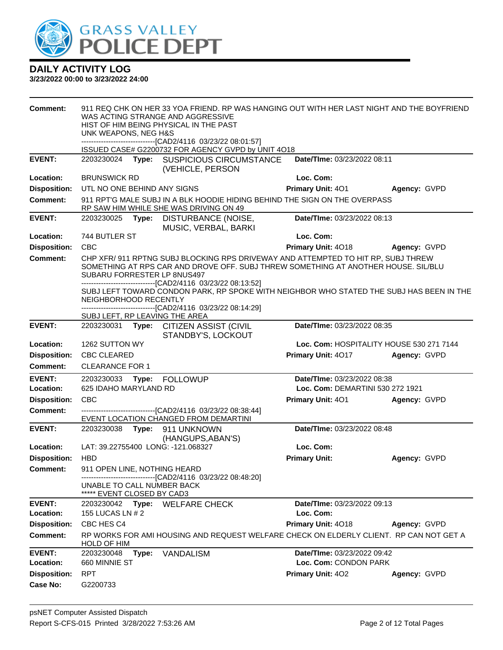

| <b>Comment:</b>            | 911 REQ CHK ON HER 33 YOA FRIEND. RP WAS HANGING OUT WITH HER LAST NIGHT AND THE BOYFRIEND<br>WAS ACTING STRANGE AND AGGRESSIVE<br>HIST OF HIM BEING PHYSICAL IN THE PAST<br>UNK WEAPONS, NEG H&S<br>-------------------------------[CAD2/4116 03/23/22 08:01:57]      |       |                                                                                                |                                                                                          |                                          |
|----------------------------|------------------------------------------------------------------------------------------------------------------------------------------------------------------------------------------------------------------------------------------------------------------------|-------|------------------------------------------------------------------------------------------------|------------------------------------------------------------------------------------------|------------------------------------------|
|                            |                                                                                                                                                                                                                                                                        |       | ISSUED CASE# G2200732 FOR AGENCY GVPD by UNIT 4O18                                             |                                                                                          |                                          |
| <b>EVENT:</b>              | 2203230024                                                                                                                                                                                                                                                             |       | Type: SUSPICIOUS CIRCUMSTANCE<br>(VEHICLE, PERSON                                              | Date/TIme: 03/23/2022 08:11                                                              |                                          |
| Location:                  | <b>BRUNSWICK RD</b>                                                                                                                                                                                                                                                    |       |                                                                                                | Loc. Com:                                                                                |                                          |
| <b>Disposition:</b>        | UTL NO ONE BEHIND ANY SIGNS                                                                                                                                                                                                                                            |       |                                                                                                | <b>Primary Unit: 401</b>                                                                 | Agency: GVPD                             |
| <b>Comment:</b>            |                                                                                                                                                                                                                                                                        |       | RP SAW HIM WHILE SHE WAS DRIVING ON 49                                                         | 911 RPT'G MALE SUBJ IN A BLK HOODIE HIDING BEHIND THE SIGN ON THE OVERPASS               |                                          |
| <b>EVENT:</b>              | 2203230025                                                                                                                                                                                                                                                             | Type: | DISTURBANCE (NOISE,<br>MUSIC, VERBAL, BARKI                                                    | Date/TIme: 03/23/2022 08:13                                                              |                                          |
| Location:                  | 744 BUTLER ST                                                                                                                                                                                                                                                          |       |                                                                                                | Loc. Com:                                                                                |                                          |
| <b>Disposition:</b>        | <b>CBC</b>                                                                                                                                                                                                                                                             |       |                                                                                                | Primary Unit: 4018                                                                       | Agency: GVPD                             |
| <b>Comment:</b>            | CHP XFR/ 911 RPTNG SUBJ BLOCKING RPS DRIVEWAY AND ATTEMPTED TO HIT RP, SUBJ THREW<br>SOMETHING AT RPS CAR AND DROVE OFF. SUBJ THREW SOMETHING AT ANOTHER HOUSE. SIL/BLU<br>SUBARU FORRESTER LP 8NUS497<br>-------------------------------[CAD2/4116 03/23/22 08:13:52] |       |                                                                                                |                                                                                          |                                          |
|                            | NEIGHBORHOOD RECENTLY                                                                                                                                                                                                                                                  |       | -------------------------------[CAD2/4116 03/23/22 08:14:29]<br>SUBJ LEFT, RP LEAVING THE AREA | SUBJ LEFT TOWARD CONDON PARK, RP SPOKE WITH NEIGHBOR WHO STATED THE SUBJ HAS BEEN IN THE |                                          |
| <b>EVENT:</b>              | 2203230031                                                                                                                                                                                                                                                             |       | Type: CITIZEN ASSIST (CIVIL<br>STANDBY'S, LOCKOUT                                              | Date/TIme: 03/23/2022 08:35                                                              |                                          |
| Location:                  | 1262 SUTTON WY                                                                                                                                                                                                                                                         |       |                                                                                                |                                                                                          | Loc. Com: HOSPITALITY HOUSE 530 271 7144 |
| <b>Disposition:</b>        | <b>CBC CLEARED</b>                                                                                                                                                                                                                                                     |       |                                                                                                | Primary Unit: 4017                                                                       | Agency: GVPD                             |
| Comment:                   | <b>CLEARANCE FOR 1</b>                                                                                                                                                                                                                                                 |       |                                                                                                |                                                                                          |                                          |
| <b>EVENT:</b>              | 2203230033                                                                                                                                                                                                                                                             | Type: | <b>FOLLOWUP</b>                                                                                | Date/TIme: 03/23/2022 08:38                                                              |                                          |
| Location:                  | 625 IDAHO MARYLAND RD                                                                                                                                                                                                                                                  |       |                                                                                                | Loc. Com: DEMARTINI 530 272 1921                                                         |                                          |
| <b>Disposition:</b>        | <b>CBC</b>                                                                                                                                                                                                                                                             |       |                                                                                                | Primary Unit: 401                                                                        | Agency: GVPD                             |
| <b>Comment:</b>            |                                                                                                                                                                                                                                                                        |       | ------------------[CAD2/4116 03/23/22 08:38:44]<br>EVENT LOCATION CHANGED FROM DEMARTINI       |                                                                                          |                                          |
| <b>EVENT:</b>              | 2203230038                                                                                                                                                                                                                                                             |       | Type: 911 UNKNOWN<br>(HANGUPS, ABAN'S)                                                         | Date/TIme: 03/23/2022 08:48                                                              |                                          |
| Location:                  |                                                                                                                                                                                                                                                                        |       | LAT: 39.22755400 LONG: -121.068327                                                             | Loc. Com:                                                                                |                                          |
| <b>Disposition:</b>        | <b>HBD</b>                                                                                                                                                                                                                                                             |       |                                                                                                | <b>Primary Unit:</b>                                                                     | Agency: GVPD                             |
| Comment:                   | 911 OPEN LINE, NOTHING HEARD                                                                                                                                                                                                                                           |       | --------------------------------[CAD2/4116 03/23/22 08:48:20]                                  |                                                                                          |                                          |
|                            | UNABLE TO CALL NUMBER BACK<br>***** EVENT CLOSED BY CAD3                                                                                                                                                                                                               |       |                                                                                                |                                                                                          |                                          |
| <b>EVENT:</b>              |                                                                                                                                                                                                                                                                        |       | 2203230042 Type: WELFARE CHECK                                                                 | Date/TIme: 03/23/2022 09:13                                                              |                                          |
| Location:                  | 155 LUCAS LN # 2                                                                                                                                                                                                                                                       |       |                                                                                                | Loc. Com:                                                                                |                                          |
| <b>Disposition:</b>        | CBC HES C4                                                                                                                                                                                                                                                             |       |                                                                                                | Primary Unit: 4018                                                                       | Agency: GVPD                             |
| <b>Comment:</b>            | HOLD OF HIM                                                                                                                                                                                                                                                            |       |                                                                                                | RP WORKS FOR AMI HOUSING AND REQUEST WELFARE CHECK ON ELDERLY CLIENT. RP CAN NOT GET A   |                                          |
| <b>EVENT:</b><br>Location: | 2203230048<br>660 MINNIE ST                                                                                                                                                                                                                                            | Type: | <b>VANDALISM</b>                                                                               | Date/TIme: 03/23/2022 09:42<br>Loc. Com: CONDON PARK                                     |                                          |
| <b>Disposition:</b>        | <b>RPT</b>                                                                                                                                                                                                                                                             |       |                                                                                                | Primary Unit: 402                                                                        | Agency: GVPD                             |
| <b>Case No:</b>            | G2200733                                                                                                                                                                                                                                                               |       |                                                                                                |                                                                                          |                                          |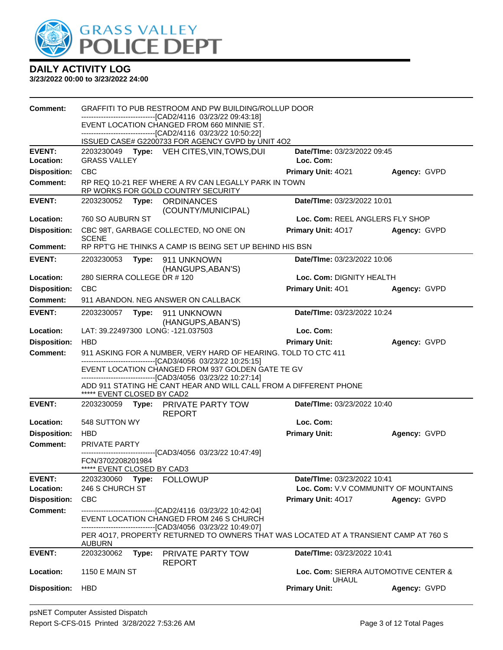

| <b>Comment:</b>     |                                                                                                         |       | GRAFFITI TO PUB RESTROOM AND PW BUILDING/ROLLUP DOOR                                                                                                |                                 |                                      |
|---------------------|---------------------------------------------------------------------------------------------------------|-------|-----------------------------------------------------------------------------------------------------------------------------------------------------|---------------------------------|--------------------------------------|
|                     | ----------------------------[CAD2/4116_03/23/22_09:43:18]<br>EVENT LOCATION CHANGED FROM 660 MINNIE ST. |       |                                                                                                                                                     |                                 |                                      |
|                     |                                                                                                         |       | -------------------------[CAD2/4116 03/23/22 10:50:22]<br>ISSUED CASE# G2200733 FOR AGENCY GVPD by UNIT 4O2                                         |                                 |                                      |
| <b>EVENT:</b>       |                                                                                                         |       | 2203230049 Type: VEH CITES, VIN, TOWS, DUI                                                                                                          | Date/TIme: 03/23/2022 09:45     |                                      |
| Location:           | <b>GRASS VALLEY</b>                                                                                     |       |                                                                                                                                                     | Loc. Com:                       |                                      |
| <b>Disposition:</b> | <b>CBC</b>                                                                                              |       |                                                                                                                                                     | Primary Unit: 4021              | Agency: GVPD                         |
| <b>Comment:</b>     |                                                                                                         |       | RP REQ 10-21 REF WHERE A RV CAN LEGALLY PARK IN TOWN<br>RP WORKS FOR GOLD COUNTRY SECURITY                                                          |                                 |                                      |
| <b>EVENT:</b>       | Date/TIme: 03/23/2022 10:01<br>2203230052<br>Type: ORDINANCES<br>(COUNTY/MUNICIPAL)                     |       |                                                                                                                                                     |                                 |                                      |
| Location:           | 760 SO AUBURN ST                                                                                        |       |                                                                                                                                                     | Loc. Com: REEL ANGLERS FLY SHOP |                                      |
| <b>Disposition:</b> | <b>SCENE</b>                                                                                            |       | CBC 98T, GARBAGE COLLECTED, NO ONE ON                                                                                                               | <b>Primary Unit: 4017</b>       | Agency: GVPD                         |
| <b>Comment:</b>     |                                                                                                         |       | RP RPT'G HE THINKS A CAMP IS BEING SET UP BEHIND HIS BSN                                                                                            |                                 |                                      |
| <b>EVENT:</b>       | 2203230053                                                                                              | Type: | 911 UNKNOWN<br>(HANGUPS, ABAN'S)                                                                                                                    | Date/TIme: 03/23/2022 10:06     |                                      |
| Location:           | 280 SIERRA COLLEGE DR #120                                                                              |       |                                                                                                                                                     | Loc. Com: DIGNITY HEALTH        |                                      |
| <b>Disposition:</b> | <b>CBC</b>                                                                                              |       |                                                                                                                                                     | Primary Unit: 401               | Agency: GVPD                         |
| <b>Comment:</b>     |                                                                                                         |       | 911 ABANDON. NEG ANSWER ON CALLBACK                                                                                                                 |                                 |                                      |
| <b>EVENT:</b>       | 2203230057                                                                                              | Type: | 911 UNKNOWN                                                                                                                                         | Date/TIme: 03/23/2022 10:24     |                                      |
| Location:           |                                                                                                         |       | (HANGUPS, ABAN'S)<br>LAT: 39.22497300 LONG: -121.037503                                                                                             | Loc. Com:                       |                                      |
| <b>Disposition:</b> | <b>HBD</b>                                                                                              |       |                                                                                                                                                     | <b>Primary Unit:</b>            | Agency: GVPD                         |
| <b>Comment:</b>     |                                                                                                         |       | 911 ASKING FOR A NUMBER, VERY HARD OF HEARING. TOLD TO CTC 411                                                                                      |                                 |                                      |
|                     |                                                                                                         |       | -------------------------------[CAD3/4056 03/23/22 10:25:15]                                                                                        |                                 |                                      |
|                     |                                                                                                         |       | EVENT LOCATION CHANGED FROM 937 GOLDEN GATE TE GV<br>-------------------------------[CAD3/4056 03/23/22 10:27:14]                                   |                                 |                                      |
|                     | ***** EVENT CLOSED BY CAD2                                                                              |       | ADD 911 STATING HE CANT HEAR AND WILL CALL FROM A DIFFERENT PHONE                                                                                   |                                 |                                      |
| <b>EVENT:</b>       | 2203230059                                                                                              |       | Type: PRIVATE PARTY TOW<br><b>REPORT</b>                                                                                                            | Date/TIme: 03/23/2022 10:40     |                                      |
| <b>Location:</b>    | 548 SUTTON WY                                                                                           |       |                                                                                                                                                     | Loc. Com:                       |                                      |
| <b>Disposition:</b> | <b>HBD</b>                                                                                              |       |                                                                                                                                                     | <b>Primary Unit:</b>            | Agency: GVPD                         |
| <b>Comment:</b>     | <b>PRIVATE PARTY</b>                                                                                    |       |                                                                                                                                                     |                                 |                                      |
|                     | FCN/3702208201984<br>*** EVENT CLOSED BY CAD3                                                           |       | --------------------------[CAD3/4056_03/23/22 10:47:49]                                                                                             |                                 |                                      |
| <b>EVENT:</b>       |                                                                                                         |       | 2203230060 Type: FOLLOWUP                                                                                                                           | Date/TIme: 03/23/2022 10:41     |                                      |
| Location:           | 246 S CHURCH ST                                                                                         |       |                                                                                                                                                     |                                 | Loc. Com: V.V COMMUNITY OF MOUNTAINS |
| <b>Disposition:</b> | <b>CBC</b>                                                                                              |       |                                                                                                                                                     | Primary Unit: 4017              | Agency: GVPD                         |
| <b>Comment:</b>     |                                                                                                         |       | -------------------------------[CAD2/4116 03/23/22 10:42:04]<br>EVENT LOCATION CHANGED FROM 246 S CHURCH                                            |                                 |                                      |
|                     | <b>AUBURN</b>                                                                                           |       | -------------------------------[CAD3/4056 03/23/22 10:49:07]<br>PER 4017, PROPERTY RETURNED TO OWNERS THAT WAS LOCATED AT A TRANSIENT CAMP AT 760 S |                                 |                                      |
| <b>EVENT:</b>       | 2203230062                                                                                              | Type: | PRIVATE PARTY TOW<br><b>REPORT</b>                                                                                                                  | Date/TIme: 03/23/2022 10:41     |                                      |
| Location:           | <b>1150 E MAIN ST</b>                                                                                   |       |                                                                                                                                                     |                                 | Loc. Com: SIERRA AUTOMOTIVE CENTER & |
| <b>Disposition:</b> | <b>HBD</b>                                                                                              |       |                                                                                                                                                     | UHAUL<br><b>Primary Unit:</b>   | Agency: GVPD                         |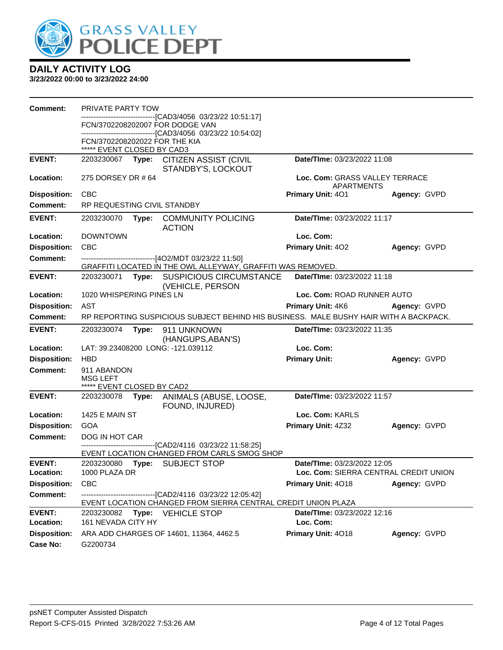

| Comment:                   | <b>PRIVATE PARTY TOW</b>         |       |                                                                                                                       |                                              |                                       |
|----------------------------|----------------------------------|-------|-----------------------------------------------------------------------------------------------------------------------|----------------------------------------------|---------------------------------------|
|                            |                                  |       | ------------------------[CAD3/4056_03/23/22 10:51:17]<br>FCN/3702208202007 FOR DODGE VAN                              |                                              |                                       |
|                            | FCN/3702208202022 FOR THE KIA    |       | -------------------------------[CAD3/4056_03/23/22 10:54:02]                                                          |                                              |                                       |
|                            | ***** EVENT CLOSED BY CAD3       |       |                                                                                                                       |                                              |                                       |
| <b>EVENT:</b>              |                                  |       | 2203230067 Type: CITIZEN ASSIST (CIVIL<br>STANDBY'S, LOCKOUT                                                          | Date/TIme: 03/23/2022 11:08                  |                                       |
| Location:                  | 275 DORSEY DR # 64               |       |                                                                                                                       | Loc. Com: GRASS VALLEY TERRACE<br>APARTMENTS |                                       |
| <b>Disposition:</b>        | <b>CBC</b>                       |       |                                                                                                                       | <b>Primary Unit: 401</b>                     | Agency: GVPD                          |
| <b>Comment:</b>            | RP REQUESTING CIVIL STANDBY      |       |                                                                                                                       |                                              |                                       |
| <b>EVENT:</b>              | 2203230070                       |       | Type: COMMUNITY POLICING<br><b>ACTION</b>                                                                             | Date/TIme: 03/23/2022 11:17                  |                                       |
| Location:                  | <b>DOWNTOWN</b>                  |       |                                                                                                                       | Loc. Com:                                    |                                       |
| <b>Disposition:</b>        | <b>CBC</b>                       |       |                                                                                                                       | <b>Primary Unit: 402</b>                     | Agency: GVPD                          |
| <b>Comment:</b>            |                                  |       | ------------------------------[4O2/MDT 03/23/22 11:50]<br>GRAFFITI LOCATED IN THE OWL ALLEYWAY, GRAFFITI WAS REMOVED. |                                              |                                       |
| <b>EVENT:</b>              |                                  |       | 2203230071 Type: SUSPICIOUS CIRCUMSTANCE                                                                              | <b>Date/Time: 03/23/2022 11:18</b>           |                                       |
|                            |                                  |       | (VEHICLE, PERSON                                                                                                      |                                              |                                       |
| Location:                  | 1020 WHISPERING PINES LN         |       |                                                                                                                       | Loc. Com: ROAD RUNNER AUTO                   |                                       |
| <b>Disposition:</b>        | AST                              |       |                                                                                                                       | <b>Primary Unit: 4K6</b>                     | Agency: GVPD                          |
| <b>Comment:</b>            |                                  |       | RP REPORTING SUSPICIOUS SUBJECT BEHIND HIS BUSINESS. MALE BUSHY HAIR WITH A BACKPACK.                                 |                                              |                                       |
|                            |                                  |       |                                                                                                                       |                                              |                                       |
| <b>EVENT:</b>              | 2203230074                       | Type: | 911 UNKNOWN                                                                                                           | <b>Date/Time: 03/23/2022 11:35</b>           |                                       |
| Location:                  |                                  |       | (HANGUPS, ABAN'S)<br>LAT: 39.23408200 LONG: -121.039112                                                               | Loc. Com:                                    |                                       |
| <b>Disposition:</b>        | <b>HBD</b>                       |       |                                                                                                                       | <b>Primary Unit:</b>                         | Agency: GVPD                          |
| Comment:                   | 911 ABANDON<br><b>MSG LEFT</b>   |       |                                                                                                                       |                                              |                                       |
|                            | ***** EVENT CLOSED BY CAD2       |       |                                                                                                                       |                                              |                                       |
| <b>EVENT:</b>              | 2203230078                       | Type: | ANIMALS (ABUSE, LOOSE,<br>FOUND, INJURED)                                                                             | Date/TIme: 03/23/2022 11:57                  |                                       |
| Location:                  | <b>1425 E MAIN ST</b>            |       |                                                                                                                       | Loc. Com: KARLS                              |                                       |
| <b>Disposition:</b>        | GOA                              |       |                                                                                                                       | Primary Unit: 4Z32                           | Agency: GVPD                          |
| <b>Comment:</b>            | DOG IN HOT CAR                   |       |                                                                                                                       |                                              |                                       |
|                            |                                  |       | ---------[CAD2/4116 03/23/22 11:58:25]<br>EVENT LOCATION CHANGED FROM CARLS SMOG SHOP                                 |                                              |                                       |
| <b>EVENT:</b>              | 2203230080                       | Type: | <b>SUBJECT STOP</b>                                                                                                   | <b>Date/TIme: 03/23/2022 12:05</b>           |                                       |
| Location:                  | 1000 PLAZA DR                    |       |                                                                                                                       |                                              | Loc. Com: SIERRA CENTRAL CREDIT UNION |
| <b>Disposition:</b>        | <b>CBC</b>                       |       |                                                                                                                       | Primary Unit: 4018                           | Agency: GVPD                          |
| <b>Comment:</b>            |                                  |       | -------------------------------[CAD2/4116 03/23/22 12:05:42]                                                          |                                              |                                       |
|                            |                                  |       | EVENT LOCATION CHANGED FROM SIERRA CENTRAL CREDIT UNION PLAZA                                                         |                                              |                                       |
| <b>EVENT:</b><br>Location: | 2203230082<br>161 NEVADA CITY HY |       | Type: VEHICLE STOP                                                                                                    | Date/TIme: 03/23/2022 12:16<br>Loc. Com:     |                                       |
| <b>Disposition:</b>        |                                  |       | ARA ADD CHARGES OF 14601, 11364, 4462.5                                                                               | Primary Unit: 4018                           | Agency: GVPD                          |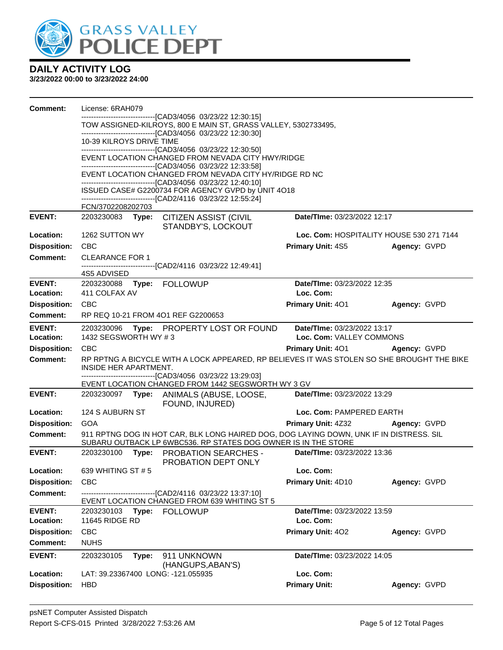

| <b>Comment:</b>     | License: 6RAH079         |                   |                                                                                                                                                           |                             |                                          |  |
|---------------------|--------------------------|-------------------|-----------------------------------------------------------------------------------------------------------------------------------------------------------|-----------------------------|------------------------------------------|--|
|                     |                          |                   | ------------------------[CAD3/4056_03/23/22 12:30:15]<br>TOW ASSIGNED-KILROYS, 800 E MAIN ST, GRASS VALLEY, 5302733495,                                   |                             |                                          |  |
|                     |                          |                   | ----------------------------------[CAD3/4056 03/23/22 12:30:30]                                                                                           |                             |                                          |  |
|                     | 10-39 KILROYS DRIVE TIME |                   |                                                                                                                                                           |                             |                                          |  |
|                     |                          |                   | --------------------------------[CAD3/4056 03/23/22 12:30:50]<br>EVENT LOCATION CHANGED FROM NEVADA CITY HWY/RIDGE                                        |                             |                                          |  |
|                     |                          |                   | --------------------------------[CAD3/4056 03/23/22 12:33:58]                                                                                             |                             |                                          |  |
|                     |                          |                   | EVENT LOCATION CHANGED FROM NEVADA CITY HY/RIDGE RD NC<br>-------------------------------[CAD3/4056 03/23/22 12:40:10]                                    |                             |                                          |  |
|                     |                          |                   | ISSUED CASE# G2200734 FOR AGENCY GVPD by UNIT 4O18                                                                                                        |                             |                                          |  |
|                     | FCN/3702208202703        |                   | --------------------------------[CAD2/4116 03/23/22 12:55:24]                                                                                             |                             |                                          |  |
| <b>EVENT:</b>       | 2203230083 <b>Type:</b>  |                   | <b>CITIZEN ASSIST (CIVIL</b>                                                                                                                              | Date/TIme: 03/23/2022 12:17 |                                          |  |
|                     |                          |                   | STANDBY'S, LOCKOUT                                                                                                                                        |                             |                                          |  |
| Location:           | 1262 SUTTON WY           |                   |                                                                                                                                                           |                             | Loc. Com: HOSPITALITY HOUSE 530 271 7144 |  |
| <b>Disposition:</b> | <b>CBC</b>               |                   |                                                                                                                                                           | <b>Primary Unit: 4S5</b>    | Agency: GVPD                             |  |
| <b>Comment:</b>     | <b>CLEARANCE FOR 1</b>   |                   |                                                                                                                                                           |                             |                                          |  |
|                     | 4S5 ADVISED              |                   | ----------------------------------[CAD2/4116 03/23/22 12:49:41]                                                                                           |                             |                                          |  |
| <b>EVENT:</b>       |                          |                   | 2203230088 Type: FOLLOWUP                                                                                                                                 | Date/TIme: 03/23/2022 12:35 |                                          |  |
| Location:           | 411 COLFAX AV            |                   |                                                                                                                                                           | Loc. Com:                   |                                          |  |
| <b>Disposition:</b> | <b>CBC</b>               |                   |                                                                                                                                                           | Primary Unit: 401           | Agency: GVPD                             |  |
| <b>Comment:</b>     |                          |                   | RP REQ 10-21 FROM 4O1 REF G2200653                                                                                                                        |                             |                                          |  |
| <b>EVENT:</b>       |                          |                   | 2203230096 Type: PROPERTY LOST OR FOUND                                                                                                                   | Date/TIme: 03/23/2022 13:17 |                                          |  |
| Location:           | 1432 SEGSWORTH WY #3     |                   |                                                                                                                                                           | Loc. Com: VALLEY COMMONS    |                                          |  |
| <b>Disposition:</b> | <b>CBC</b>               |                   |                                                                                                                                                           | <b>Primary Unit: 401</b>    | Agency: GVPD                             |  |
| <b>Comment:</b>     | INSIDE HER APARTMENT.    |                   | RP RPTNG A BICYCLE WITH A LOCK APPEARED, RP BELIEVES IT WAS STOLEN SO SHE BROUGHT THE BIKE                                                                |                             |                                          |  |
|                     |                          |                   | --------------------------------[CAD3/4056 03/23/22 13:29:03]<br>EVENT LOCATION CHANGED FROM 1442 SEGSWORTH WY 3 GV                                       |                             |                                          |  |
| <b>EVENT:</b>       |                          |                   | 2203230097 Type: ANIMALS (ABUSE, LOOSE,<br>FOUND, INJURED)                                                                                                | Date/TIme: 03/23/2022 13:29 |                                          |  |
| Location:           | 124 S AUBURN ST          |                   |                                                                                                                                                           | Loc. Com: PAMPERED EARTH    |                                          |  |
| <b>Disposition:</b> | <b>GOA</b>               |                   |                                                                                                                                                           | <b>Primary Unit: 4Z32</b>   | Agency: GVPD                             |  |
| <b>Comment:</b>     |                          |                   | 911 RPTNG DOG IN HOT CAR, BLK LONG HAIRED DOG, DOG LAYING DOWN, UNK IF IN DISTRESS. SIL<br>SUBARU OUTBACK LP 6WBC536. RP STATES DOG OWNER IS IN THE STORE |                             |                                          |  |
| <b>EVENT:</b>       |                          |                   | 2203230100 Type: PROBATION SEARCHES -<br>PROBATION DEPT ONLY                                                                                              | Date/TIme: 03/23/2022 13:36 |                                          |  |
| Location:           | 639 WHITING ST # 5       |                   |                                                                                                                                                           | Loc. Com:                   |                                          |  |
| <b>Disposition:</b> | <b>CBC</b>               |                   |                                                                                                                                                           | Primary Unit: 4D10          | Agency: GVPD                             |  |
| <b>Comment:</b>     |                          |                   | ------------------------[CAD2/4116 03/23/22 13:37:10]<br>EVENT LOCATION CHANGED FROM 639 WHITING ST 5                                                     |                             |                                          |  |
| <b>EVENT:</b>       | 2203230103               |                   | Type: FOLLOWUP                                                                                                                                            | Date/TIme: 03/23/2022 13:59 |                                          |  |
| Location:           | 11645 RIDGE RD           |                   |                                                                                                                                                           | Loc. Com:                   |                                          |  |
| <b>Disposition:</b> | CBC                      |                   |                                                                                                                                                           | Primary Unit: 402           | Agency: GVPD                             |  |
| Comment:            | <b>NUHS</b>              |                   |                                                                                                                                                           |                             |                                          |  |
| <b>EVENT:</b>       | 2203230105               | Type:             | 911 UNKNOWN                                                                                                                                               | Date/TIme: 03/23/2022 14:05 |                                          |  |
|                     |                          | (HANGUPS, ABAN'S) |                                                                                                                                                           |                             |                                          |  |
| Location:           |                          |                   | LAT: 39.23367400 LONG: -121.055935                                                                                                                        | Loc. Com:                   |                                          |  |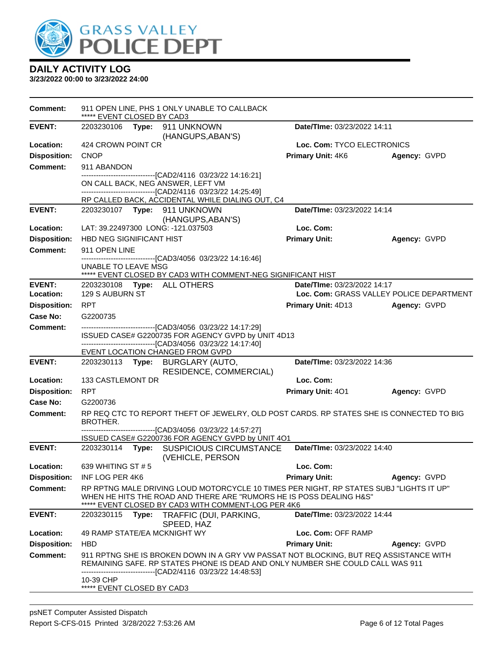

| <b>Comment:</b>     | 911 OPEN LINE, PHS 1 ONLY UNABLE TO CALLBACK<br>***** EVENT CLOSED BY CAD3                                                                                                                                                                                                    |                             |                                          |
|---------------------|-------------------------------------------------------------------------------------------------------------------------------------------------------------------------------------------------------------------------------------------------------------------------------|-----------------------------|------------------------------------------|
| <b>EVENT:</b>       | 2203230106 Type: 911 UNKNOWN<br>(HANGUPS, ABAN'S)                                                                                                                                                                                                                             | Date/TIme: 03/23/2022 14:11 |                                          |
| Location:           | 424 CROWN POINT CR                                                                                                                                                                                                                                                            | Loc. Com: TYCO ELECTRONICS  |                                          |
| <b>Disposition:</b> | <b>CNOP</b>                                                                                                                                                                                                                                                                   | <b>Primary Unit: 4K6</b>    | Agency: GVPD                             |
| <b>Comment:</b>     | 911 ABANDON                                                                                                                                                                                                                                                                   |                             |                                          |
|                     | -------------------------------[CAD2/4116 03/23/22 14:16:21]                                                                                                                                                                                                                  |                             |                                          |
|                     | ON CALL BACK, NEG ANSWER, LEFT VM<br>-------------------------------[CAD2/4116 03/23/22 14:25:49]                                                                                                                                                                             |                             |                                          |
|                     | RP CALLED BACK, ACCIDENTAL WHILE DIALING OUT, C4                                                                                                                                                                                                                              |                             |                                          |
| <b>EVENT:</b>       | (HANGUPS, ABAN'S)                                                                                                                                                                                                                                                             | Date/TIme: 03/23/2022 14:14 |                                          |
| Location:           | LAT: 39.22497300 LONG: -121.037503                                                                                                                                                                                                                                            | Loc. Com:                   |                                          |
| <b>Disposition:</b> | <b>HBD NEG SIGNIFICANT HIST</b>                                                                                                                                                                                                                                               | <b>Primary Unit:</b>        | Agency: GVPD                             |
| <b>Comment:</b>     | 911 OPEN LINE                                                                                                                                                                                                                                                                 |                             |                                          |
|                     | -------------------------[CAD3/4056 03/23/22 14:16:46]<br>UNABLE TO LEAVE MSG                                                                                                                                                                                                 |                             |                                          |
|                     | ***** EVENT CLOSED BY CAD3 WITH COMMENT-NEG SIGNIFICANT HIST                                                                                                                                                                                                                  |                             |                                          |
| <b>EVENT:</b>       | 2203230108 Type: ALL OTHERS                                                                                                                                                                                                                                                   | Date/TIme: 03/23/2022 14:17 |                                          |
| Location:           | 129 S AUBURN ST                                                                                                                                                                                                                                                               |                             | Loc. Com: GRASS VALLEY POLICE DEPARTMENT |
| <b>Disposition:</b> | <b>RPT</b>                                                                                                                                                                                                                                                                    | <b>Primary Unit: 4D13</b>   | Agency: GVPD                             |
| <b>Case No:</b>     | G2200735                                                                                                                                                                                                                                                                      |                             |                                          |
| <b>Comment:</b>     | -------------------------------[CAD3/4056 03/23/22 14:17:29]<br>ISSUED CASE# G2200735 FOR AGENCY GVPD by UNIT 4D13<br>-------------------------------[CAD3/4056_03/23/22 14:17:40]                                                                                            |                             |                                          |
| <b>EVENT:</b>       | EVENT LOCATION CHANGED FROM GVPD                                                                                                                                                                                                                                              | Date/TIme: 03/23/2022 14:36 |                                          |
|                     | RESIDENCE, COMMERCIAL)                                                                                                                                                                                                                                                        |                             |                                          |
| Location:           | 133 CASTLEMONT DR                                                                                                                                                                                                                                                             | Loc. Com:                   |                                          |
| <b>Disposition:</b> | <b>RPT</b>                                                                                                                                                                                                                                                                    | Primary Unit: 401           | Agency: GVPD                             |
| Case No:            | G2200736                                                                                                                                                                                                                                                                      |                             |                                          |
| <b>Comment:</b>     | RP REQ CTC TO REPORT THEFT OF JEWELRY, OLD POST CARDS. RP STATES SHE IS CONNECTED TO BIG<br>BROTHER.                                                                                                                                                                          |                             |                                          |
|                     | --------------------------------[CAD3/4056_03/23/22 14:57:27]<br>ISSUED CASE# G2200736 FOR AGENCY GVPD by UNIT 4O1                                                                                                                                                            |                             |                                          |
| <b>EVENT:</b>       | 2203230114 Type: SUSPICIOUS CIRCUMSTANCE<br>(VEHICLE, PERSON                                                                                                                                                                                                                  | Date/TIme: 03/23/2022 14:40 |                                          |
| Location:           | 639 WHITING ST # 5                                                                                                                                                                                                                                                            | Loc. Com:                   |                                          |
| <b>Disposition:</b> | INF LOG PER 4K6                                                                                                                                                                                                                                                               | <b>Primary Unit:</b>        | Agency: GVPD                             |
| Comment:            | RP RPTNG MALE DRIVING LOUD MOTORCYCLE 10 TIMES PER NIGHT, RP STATES SUBJ "LIGHTS IT UP"<br>WHEN HE HITS THE ROAD AND THERE ARE "RUMORS HE IS POSS DEALING H&S"<br>***** EVENT CLOSED BY CAD3 WITH COMMENT-LOG PER 4K6                                                         |                             |                                          |
| <b>EVENT:</b>       | 2203230115<br>Type: TRAFFIC (DUI, PARKING,<br>SPEED, HAZ                                                                                                                                                                                                                      | Date/TIme: 03/23/2022 14:44 |                                          |
| Location:           | 49 RAMP STATE/EA MCKNIGHT WY                                                                                                                                                                                                                                                  | Loc. Com: OFF RAMP          |                                          |
| <b>Disposition:</b> | <b>HBD</b>                                                                                                                                                                                                                                                                    | <b>Primary Unit:</b>        | Agency: GVPD                             |
| Comment:            | 911 RPTNG SHE IS BROKEN DOWN IN A GRY VW PASSAT NOT BLOCKING, BUT REQ ASSISTANCE WITH<br>REMAINING SAFE. RP STATES PHONE IS DEAD AND ONLY NUMBER SHE COULD CALL WAS 911<br>--------------------------[CAD2/4116_03/23/22 14:48:53]<br>10-39 CHP<br>***** EVENT CLOSED BY CAD3 |                             |                                          |
|                     |                                                                                                                                                                                                                                                                               |                             |                                          |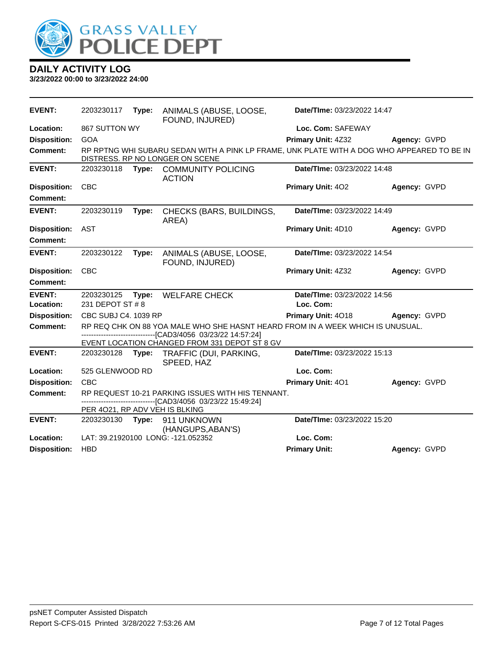

| EVENT:              | 2203230117                     | Type: | ANIMALS (ABUSE, LOOSE,<br>FOUND, INJURED)                                                                                              | Date/TIme: 03/23/2022 14:47              |              |
|---------------------|--------------------------------|-------|----------------------------------------------------------------------------------------------------------------------------------------|------------------------------------------|--------------|
| Location:           | 867 SUTTON WY                  |       |                                                                                                                                        | Loc. Com: SAFEWAY                        |              |
| <b>Disposition:</b> | <b>GOA</b>                     |       |                                                                                                                                        | Primary Unit: 4Z32                       | Agency: GVPD |
| Comment:            |                                |       | RP RPTNG WHI SUBARU SEDAN WITH A PINK LP FRAME, UNK PLATE WITH A DOG WHO APPEARED TO BE IN<br>DISTRESS. RP NO LONGER ON SCENE          |                                          |              |
| <b>EVENT:</b>       | 2203230118                     | Type: | <b>COMMUNITY POLICING</b><br><b>ACTION</b>                                                                                             | Date/TIme: 03/23/2022 14:48              |              |
| <b>Disposition:</b> | <b>CBC</b>                     |       |                                                                                                                                        | Primary Unit: 402                        | Agency: GVPD |
| Comment:            |                                |       |                                                                                                                                        |                                          |              |
| <b>EVENT:</b>       | 2203230119                     | Type: | CHECKS (BARS, BUILDINGS,<br>AREA)                                                                                                      | Date/TIme: 03/23/2022 14:49              |              |
| <b>Disposition:</b> | <b>AST</b>                     |       |                                                                                                                                        | <b>Primary Unit: 4D10</b>                | Agency: GVPD |
| <b>Comment:</b>     |                                |       |                                                                                                                                        |                                          |              |
| <b>EVENT:</b>       | 2203230122                     | Type: | ANIMALS (ABUSE, LOOSE,<br>FOUND, INJURED)                                                                                              | Date/TIme: 03/23/2022 14:54              |              |
| <b>Disposition:</b> | <b>CBC</b>                     |       |                                                                                                                                        | Primary Unit: 4Z32                       | Agency: GVPD |
| Comment:            |                                |       |                                                                                                                                        |                                          |              |
| <b>EVENT:</b>       | 2203230125                     | Type: | <b>WELFARE CHECK</b>                                                                                                                   | Date/TIme: 03/23/2022 14:56<br>Loc. Com: |              |
| Location:           | 231 DEPOT ST # 8               |       |                                                                                                                                        |                                          |              |
| <b>Disposition:</b> | CBC SUBJ C4, 1039 RP           |       |                                                                                                                                        | <b>Primary Unit: 4018</b>                | Agency: GVPD |
| <b>Comment:</b>     |                                |       | RP REQ CHK ON 88 YOA MALE WHO SHE HASNT HEARD FROM IN A WEEK WHICH IS UNUSUAL.<br>-----------------------[CAD3/4056_03/23/22 14:57:24] |                                          |              |
|                     |                                |       | EVENT LOCATION CHANGED FROM 331 DEPOT ST 8 GV                                                                                          |                                          |              |
| <b>EVENT:</b>       | 2203230128                     | Type: | TRAFFIC (DUI, PARKING,<br>SPEED, HAZ                                                                                                   | Date/TIme: 03/23/2022 15:13              |              |
| Location:           | 525 GLENWOOD RD                |       |                                                                                                                                        | Loc. Com:                                |              |
| <b>Disposition:</b> | CBC                            |       |                                                                                                                                        | Primary Unit: 401                        | Agency: GVPD |
| Comment:            |                                |       | RP REQUEST 10-21 PARKING ISSUES WITH HIS TENNANT.<br>----------------[CAD3/4056_03/23/22 15:49:24]                                     |                                          |              |
|                     | PER 4021, RP ADV VEH IS BLKING |       |                                                                                                                                        |                                          |              |
| <b>EVENT:</b>       | 2203230130                     | Type: | 911 UNKNOWN<br>(HANGUPS, ABAN'S)                                                                                                       | Date/TIme: 03/23/2022 15:20              |              |
| Location:           |                                |       | LAT: 39.21920100 LONG: -121.052352                                                                                                     | Loc. Com:                                |              |
| <b>Disposition:</b> | <b>HBD</b>                     |       |                                                                                                                                        | <b>Primary Unit:</b>                     | Agency: GVPD |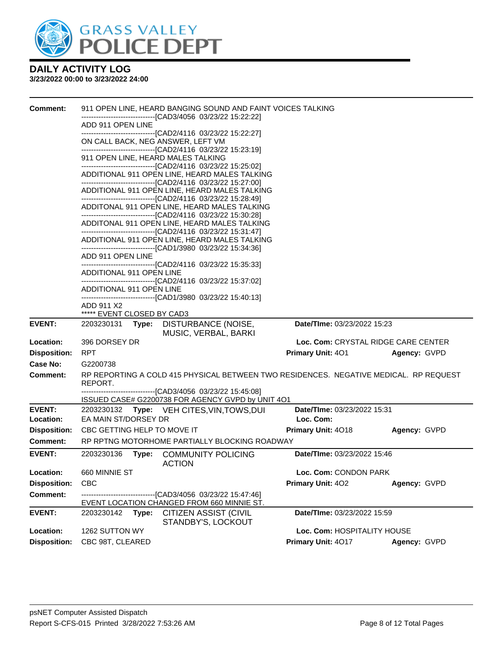

| <b>Comment:</b>     | 911 OPEN LINE, HEARD BANGING SOUND AND FAINT VOICES TALKING<br>------------------------[CAD3/4056_03/23/22 15:22:22]<br>ADD 911 OPEN LINE<br>-------------------------------[CAD2/4116 03/23/22 15:22:27]<br>ON CALL BACK, NEG ANSWER, LEFT VM<br>911 OPEN LINE, HEARD MALES TALKING<br>-------------------------------[CAD2/4116 03/23/22 15:25:02]<br>ADDITIONAL 911 OPEN LINE, HEARD MALES TALKING<br>-----------------------------------[CAD2/4116 03/23/22 15:27:00]<br>ADDITIONAL 911 OPEN LINE, HEARD MALES TALKING<br>--------------------------------[CAD2/4116 03/23/22 15:28:49]<br>ADDITONAL 911 OPEN LINE, HEARD MALES TALKING<br>----------------------------------[CAD2/4116 03/23/22 15:30:28]<br>ADDITONAL 911 OPEN LINE, HEARD MALES TALKING<br>----------------------------------[CAD2/4116 03/23/22 15:31:47]<br>ADDITIONAL 911 OPEN LINE, HEARD MALES TALKING<br>--------------------------------[CAD1/3980 03/23/22 15:34:36]<br>ADD 911 OPEN LINE<br>--------------------------------[CAD2/4116_03/23/22 15:35:33]<br>ADDITIONAL 911 OPEN LINE<br>-------------------------------[CAD2/4116 03/23/22 15:37:02] |                                     |              |
|---------------------|---------------------------------------------------------------------------------------------------------------------------------------------------------------------------------------------------------------------------------------------------------------------------------------------------------------------------------------------------------------------------------------------------------------------------------------------------------------------------------------------------------------------------------------------------------------------------------------------------------------------------------------------------------------------------------------------------------------------------------------------------------------------------------------------------------------------------------------------------------------------------------------------------------------------------------------------------------------------------------------------------------------------------------------------------------------------------------------------------------------------------------------|-------------------------------------|--------------|
|                     | ADDITIONAL 911 OPEN LINE<br>--------------------------------[CAD1/3980 03/23/22 15:40:13]                                                                                                                                                                                                                                                                                                                                                                                                                                                                                                                                                                                                                                                                                                                                                                                                                                                                                                                                                                                                                                             |                                     |              |
|                     | ADD 911 X2<br>***** EVENT CLOSED BY CAD3                                                                                                                                                                                                                                                                                                                                                                                                                                                                                                                                                                                                                                                                                                                                                                                                                                                                                                                                                                                                                                                                                              |                                     |              |
| <b>EVENT:</b>       | 2203230131<br>Type:<br>DISTURBANCE (NOISE,<br>MUSIC, VERBAL, BARKI                                                                                                                                                                                                                                                                                                                                                                                                                                                                                                                                                                                                                                                                                                                                                                                                                                                                                                                                                                                                                                                                    | Date/TIme: 03/23/2022 15:23         |              |
| Location:           | 396 DORSEY DR                                                                                                                                                                                                                                                                                                                                                                                                                                                                                                                                                                                                                                                                                                                                                                                                                                                                                                                                                                                                                                                                                                                         | Loc. Com: CRYSTAL RIDGE CARE CENTER |              |
| <b>Disposition:</b> | <b>RPT</b>                                                                                                                                                                                                                                                                                                                                                                                                                                                                                                                                                                                                                                                                                                                                                                                                                                                                                                                                                                                                                                                                                                                            | Primary Unit: 401                   | Agency: GVPD |
| Case No:            | G2200738                                                                                                                                                                                                                                                                                                                                                                                                                                                                                                                                                                                                                                                                                                                                                                                                                                                                                                                                                                                                                                                                                                                              |                                     |              |
| <b>Comment:</b>     | RP REPORTING A COLD 415 PHYSICAL BETWEEN TWO RESIDENCES. NEGATIVE MEDICAL. RP REQUEST<br>REPORT.                                                                                                                                                                                                                                                                                                                                                                                                                                                                                                                                                                                                                                                                                                                                                                                                                                                                                                                                                                                                                                      |                                     |              |
|                     | ISSUED CASE# G2200738 FOR AGENCY GVPD by UNIT 4O1                                                                                                                                                                                                                                                                                                                                                                                                                                                                                                                                                                                                                                                                                                                                                                                                                                                                                                                                                                                                                                                                                     |                                     |              |
| <b>EVENT:</b>       | 2203230132 Type: VEH CITES, VIN, TOWS, DUI                                                                                                                                                                                                                                                                                                                                                                                                                                                                                                                                                                                                                                                                                                                                                                                                                                                                                                                                                                                                                                                                                            | Date/TIme: 03/23/2022 15:31         |              |
| Location:           | EA MAIN ST/DORSEY DR                                                                                                                                                                                                                                                                                                                                                                                                                                                                                                                                                                                                                                                                                                                                                                                                                                                                                                                                                                                                                                                                                                                  | Loc. Com:                           |              |
| <b>Disposition:</b> | CBC GETTING HELP TO MOVE IT                                                                                                                                                                                                                                                                                                                                                                                                                                                                                                                                                                                                                                                                                                                                                                                                                                                                                                                                                                                                                                                                                                           | Primary Unit: 4018                  | Agency: GVPD |
| <b>Comment:</b>     | RP RPTNG MOTORHOME PARTIALLY BLOCKING ROADWAY                                                                                                                                                                                                                                                                                                                                                                                                                                                                                                                                                                                                                                                                                                                                                                                                                                                                                                                                                                                                                                                                                         |                                     |              |
| <b>EVENT:</b>       | 2203230136<br><b>COMMUNITY POLICING</b><br>Type:<br><b>ACTION</b>                                                                                                                                                                                                                                                                                                                                                                                                                                                                                                                                                                                                                                                                                                                                                                                                                                                                                                                                                                                                                                                                     | Date/TIme: 03/23/2022 15:46         |              |
| Location:           | 660 MINNIE ST                                                                                                                                                                                                                                                                                                                                                                                                                                                                                                                                                                                                                                                                                                                                                                                                                                                                                                                                                                                                                                                                                                                         | Loc. Com: CONDON PARK               |              |
| <b>Disposition:</b> | <b>CBC</b>                                                                                                                                                                                                                                                                                                                                                                                                                                                                                                                                                                                                                                                                                                                                                                                                                                                                                                                                                                                                                                                                                                                            | <b>Primary Unit: 402</b>            | Agency: GVPD |
| <b>Comment:</b>     | ------------------------[CAD3/4056_03/23/22_15:47:46]                                                                                                                                                                                                                                                                                                                                                                                                                                                                                                                                                                                                                                                                                                                                                                                                                                                                                                                                                                                                                                                                                 |                                     |              |
| <b>EVENT:</b>       | EVENT LOCATION CHANGED FROM 660 MINNIE ST.<br>2203230142<br>Type:<br><b>CITIZEN ASSIST (CIVIL</b>                                                                                                                                                                                                                                                                                                                                                                                                                                                                                                                                                                                                                                                                                                                                                                                                                                                                                                                                                                                                                                     | Date/TIme: 03/23/2022 15:59         |              |
| Location:           | STANDBY'S, LOCKOUT<br>1262 SUTTON WY                                                                                                                                                                                                                                                                                                                                                                                                                                                                                                                                                                                                                                                                                                                                                                                                                                                                                                                                                                                                                                                                                                  | Loc. Com: HOSPITALITY HOUSE         |              |
|                     |                                                                                                                                                                                                                                                                                                                                                                                                                                                                                                                                                                                                                                                                                                                                                                                                                                                                                                                                                                                                                                                                                                                                       | Primary Unit: 4017                  |              |
| <b>Disposition:</b> | CBC 98T, CLEARED                                                                                                                                                                                                                                                                                                                                                                                                                                                                                                                                                                                                                                                                                                                                                                                                                                                                                                                                                                                                                                                                                                                      |                                     | Agency: GVPD |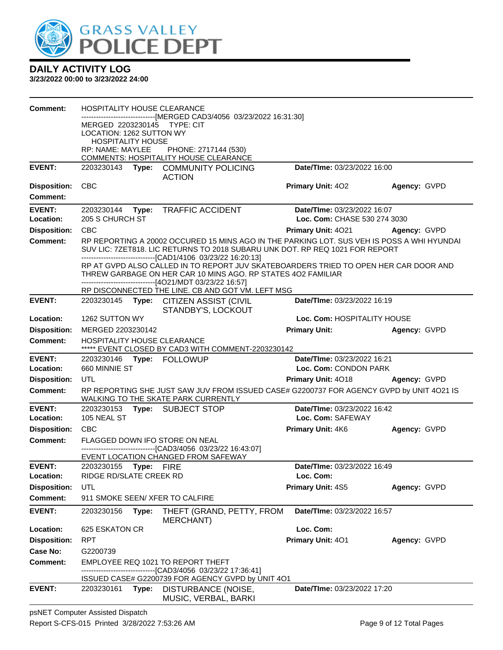

| Comment:                   | <b>HOSPITALITY HOUSE CLEARANCE</b><br>MERGED 2203230145 TYPE: CIT<br>LOCATION: 1262 SUTTON WY<br><b>HOSPITALITY HOUSE</b> |       | ------------------[MERGED CAD3/4056_03/23/2022 16:31:30]                                                                                                                                                                                   |                                                  |              |
|----------------------------|---------------------------------------------------------------------------------------------------------------------------|-------|--------------------------------------------------------------------------------------------------------------------------------------------------------------------------------------------------------------------------------------------|--------------------------------------------------|--------------|
|                            | RP: NAME: MAYLEE                                                                                                          |       | PHONE: 2717144 (530)                                                                                                                                                                                                                       |                                                  |              |
| <b>EVENT:</b>              |                                                                                                                           |       | COMMENTS: HOSPITALITY HOUSE CLEARANCE<br>2203230143 Type: COMMUNITY POLICING                                                                                                                                                               | Date/TIme: 03/23/2022 16:00                      |              |
|                            |                                                                                                                           |       | <b>ACTION</b>                                                                                                                                                                                                                              |                                                  |              |
| <b>Disposition:</b>        | <b>CBC</b>                                                                                                                |       |                                                                                                                                                                                                                                            | <b>Primary Unit: 402</b>                         | Agency: GVPD |
| <b>Comment:</b>            |                                                                                                                           |       |                                                                                                                                                                                                                                            |                                                  |              |
| <b>EVENT:</b>              |                                                                                                                           |       | 2203230144 Type: TRAFFIC ACCIDENT                                                                                                                                                                                                          | Date/TIme: 03/23/2022 16:07                      |              |
| Location:                  | 205 S CHURCH ST                                                                                                           |       |                                                                                                                                                                                                                                            | Loc. Com: CHASE 530 274 3030                     |              |
| <b>Disposition:</b>        | <b>CBC</b>                                                                                                                |       |                                                                                                                                                                                                                                            | Primary Unit: 4021                               | Agency: GVPD |
| <b>Comment:</b>            |                                                                                                                           |       | RP REPORTING A 20002 OCCURED 15 MINS AGO IN THE PARKING LOT. SUS VEH IS POSS A WHI HYUNDAI<br>SUV LIC: 7ZET818. LIC RETURNS TO 2018 SUBARU UNK DOT. RP REQ 1021 FOR REPORT<br>-------------------------------[CAD1/4106 03/23/22 16:20:13] |                                                  |              |
|                            |                                                                                                                           |       | RP AT GVPD ALSO CALLED IN TO REPORT JUV SKATEBOARDERS TRIED TO OPEN HER CAR DOOR AND<br>THREW GARBAGE ON HER CAR 10 MINS AGO. RP STATES 402 FAMILIAR<br>-------------------------------[4O21/MDT 03/23/22 16:57]                           |                                                  |              |
|                            |                                                                                                                           |       | RP DISCONNECTED THE LINE. CB AND GOT VM. LEFT MSG                                                                                                                                                                                          |                                                  |              |
| <b>EVENT:</b>              |                                                                                                                           |       | 2203230145 Type: CITIZEN ASSIST (CIVIL<br>STANDBY'S, LOCKOUT                                                                                                                                                                               | Date/TIme: 03/23/2022 16:19                      |              |
| Location:                  | 1262 SUTTON WY                                                                                                            |       |                                                                                                                                                                                                                                            | Loc. Com: HOSPITALITY HOUSE                      |              |
| <b>Disposition:</b>        | MERGED 2203230142                                                                                                         |       |                                                                                                                                                                                                                                            | <b>Primary Unit:</b>                             | Agency: GVPD |
| <b>Comment:</b>            | <b>HOSPITALITY HOUSE CLEARANCE</b>                                                                                        |       | ***** EVENT CLOSED BY CAD3 WITH COMMENT-2203230142                                                                                                                                                                                         |                                                  |              |
| <b>EVENT:</b>              |                                                                                                                           |       |                                                                                                                                                                                                                                            | Date/TIme: 03/23/2022 16:21                      |              |
| Location:                  | 660 MINNIE ST                                                                                                             |       |                                                                                                                                                                                                                                            | Loc. Com: CONDON PARK                            |              |
| <b>Disposition:</b>        | UTL                                                                                                                       |       |                                                                                                                                                                                                                                            | Primary Unit: 4018                               | Agency: GVPD |
| <b>Comment:</b>            |                                                                                                                           |       | RP REPORTING SHE JUST SAW JUV FROM ISSUED CASE# G2200737 FOR AGENCY GVPD by UNIT 4O21 IS<br>WALKING TO THE SKATE PARK CURRENTLY                                                                                                            |                                                  |              |
| <b>EVENT:</b><br>Location: | 105 NEAL ST                                                                                                               |       | 2203230153 Type: SUBJECT STOP                                                                                                                                                                                                              | Date/TIme: 03/23/2022 16:42<br>Loc. Com: SAFEWAY |              |
| <b>Disposition:</b>        | <b>CBC</b>                                                                                                                |       |                                                                                                                                                                                                                                            | <b>Primary Unit: 4K6</b>                         | Agency: GVPD |
| <b>Comment:</b>            |                                                                                                                           |       | FLAGGED DOWN IFO STORE ON NEAL                                                                                                                                                                                                             |                                                  |              |
|                            |                                                                                                                           |       | -------------------[CAD3/4056_03/23/22 16:43:07]<br>EVENT LOCATION CHANGED FROM SAFEWAY                                                                                                                                                    |                                                  |              |
| <b>EVENT:</b>              | 2203230155 Type: FIRE                                                                                                     |       |                                                                                                                                                                                                                                            | Date/TIme: 03/23/2022 16:49                      |              |
| Location:                  | RIDGE RD/SLATE CREEK RD                                                                                                   |       |                                                                                                                                                                                                                                            | Loc. Com:                                        |              |
| <b>Disposition:</b>        | UTL                                                                                                                       |       |                                                                                                                                                                                                                                            | Primary Unit: 4S5                                | Agency: GVPD |
| <b>Comment:</b>            |                                                                                                                           |       | 911 SMOKE SEEN/ XFER TO CALFIRE                                                                                                                                                                                                            |                                                  |              |
| <b>EVENT:</b>              | 2203230156                                                                                                                | Type: | THEFT (GRAND, PETTY, FROM<br>MERCHANT)                                                                                                                                                                                                     | Date/TIme: 03/23/2022 16:57                      |              |
| Location:                  | 625 ESKATON CR                                                                                                            |       |                                                                                                                                                                                                                                            | Loc. Com:                                        |              |
| <b>Disposition:</b>        | <b>RPT</b>                                                                                                                |       |                                                                                                                                                                                                                                            | Primary Unit: 401                                | Agency: GVPD |
| Case No:                   | G2200739                                                                                                                  |       |                                                                                                                                                                                                                                            |                                                  |              |
| <b>Comment:</b>            |                                                                                                                           |       | EMPLOYEE REQ 1021 TO REPORT THEFT<br>----[CAD3/4056_03/23/22 17:36:41]                                                                                                                                                                     |                                                  |              |
|                            |                                                                                                                           |       | ISSUED CASE# G2200739 FOR AGENCY GVPD by UNIT 4O1                                                                                                                                                                                          |                                                  |              |
| <b>EVENT:</b>              | 2203230161                                                                                                                | Type: | DISTURBANCE (NOISE,<br>MUSIC, VERBAL, BARKI                                                                                                                                                                                                | <b>Date/Time: 03/23/2022 17:20</b>               |              |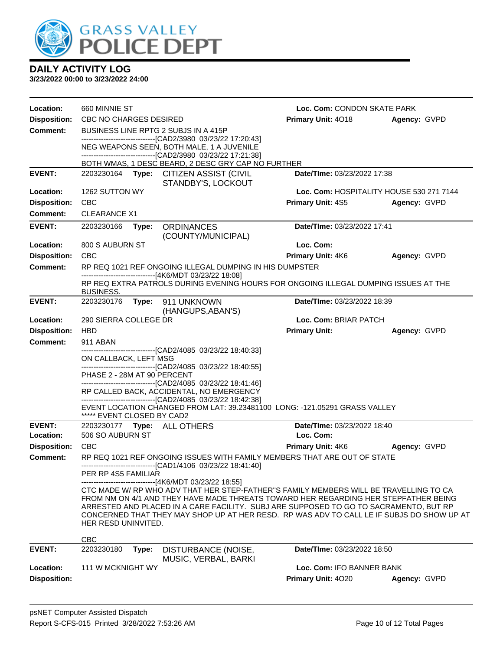

| Location:           | 660 MINNIE ST                        |                                                                                                                                                                              | Loc. Com: CONDON SKATE PARK              |              |  |
|---------------------|--------------------------------------|------------------------------------------------------------------------------------------------------------------------------------------------------------------------------|------------------------------------------|--------------|--|
| <b>Disposition:</b> | CBC NO CHARGES DESIRED               |                                                                                                                                                                              | Primary Unit: 4018                       | Agency: GVPD |  |
| <b>Comment:</b>     | BUSINESS LINE RPTG 2 SUBJS IN A 415P |                                                                                                                                                                              |                                          |              |  |
|                     |                                      | -------------------------------[CAD2/3980_03/23/22 17:20:43]<br>NEG WEAPONS SEEN, BOTH MALE, 1 A JUVENILE<br>-------------------------------[CAD2/3980_03/23/22 17:21:38]    |                                          |              |  |
|                     |                                      | BOTH WMAS, 1 DESC BEARD, 2 DESC GRY CAP NO FURTHER                                                                                                                           |                                          |              |  |
| <b>EVENT:</b>       |                                      | 2203230164 Type: CITIZEN ASSIST (CIVIL<br>STANDBY'S, LOCKOUT                                                                                                                 | Date/TIme: 03/23/2022 17:38              |              |  |
| Location:           | 1262 SUTTON WY                       |                                                                                                                                                                              | Loc. Com: HOSPITALITY HOUSE 530 271 7144 |              |  |
| <b>Disposition:</b> | <b>CBC</b>                           |                                                                                                                                                                              | <b>Primary Unit: 4S5</b>                 | Agency: GVPD |  |
| <b>Comment:</b>     | <b>CLEARANCE X1</b>                  |                                                                                                                                                                              |                                          |              |  |
| <b>EVENT:</b>       | 2203230166<br>Type:                  | <b>ORDINANCES</b><br>(COUNTY/MUNICIPAL)                                                                                                                                      | Date/TIme: 03/23/2022 17:41              |              |  |
| Location:           | 800 S AUBURN ST                      |                                                                                                                                                                              | Loc. Com:                                |              |  |
| <b>Disposition:</b> | <b>CBC</b>                           |                                                                                                                                                                              | <b>Primary Unit: 4K6</b>                 | Agency: GVPD |  |
| <b>Comment:</b>     |                                      | RP REQ 1021 REF ONGOING ILLEGAL DUMPING IN HIS DUMPSTER                                                                                                                      |                                          |              |  |
|                     | BUSINESS.                            | -------------------------------[4K6/MDT 03/23/22 18:08]<br>RP REQ EXTRA PATROLS DURING EVENING HOURS FOR ONGOING ILLEGAL DUMPING ISSUES AT THE                               |                                          |              |  |
| <b>EVENT:</b>       | 2203230176                           | Type: 911 UNKNOWN                                                                                                                                                            | Date/TIme: 03/23/2022 18:39              |              |  |
|                     |                                      | (HANGUPS, ABAN'S)                                                                                                                                                            |                                          |              |  |
| Location:           | 290 SIERRA COLLEGE DR                |                                                                                                                                                                              | Loc. Com: BRIAR PATCH                    |              |  |
| <b>Disposition:</b> | <b>HBD</b>                           |                                                                                                                                                                              | <b>Primary Unit:</b>                     | Agency: GVPD |  |
| <b>Comment:</b>     | 911 ABAN                             |                                                                                                                                                                              |                                          |              |  |
|                     | ON CALLBACK, LEFT MSG                | -------------------------------[CAD2/4085_03/23/22_18:40:33]                                                                                                                 |                                          |              |  |
|                     |                                      | -------------------------------[CAD2/4085 03/23/22 18:40:55]                                                                                                                 |                                          |              |  |
|                     | PHASE 2 - 28M AT 90 PERCENT          | ------------------------------[CAD2/4085 03/23/22 18:41:46]                                                                                                                  |                                          |              |  |
|                     |                                      | RP CALLED BACK, ACCIDENTAL, NO EMERGENCY                                                                                                                                     |                                          |              |  |
|                     |                                      | -------------------------------[CAD2/4085 03/23/22 18:42:38]                                                                                                                 |                                          |              |  |
|                     | ***** EVENT CLOSED BY CAD2           | EVENT LOCATION CHANGED FROM LAT: 39.23481100 LONG: -121.05291 GRASS VALLEY                                                                                                   |                                          |              |  |
| <b>EVENT:</b>       | 2203230177    Type: ALL OTHERS       |                                                                                                                                                                              | Date/TIme: 03/23/2022 18:40              |              |  |
| Location:           | 506 SO AUBURN ST                     |                                                                                                                                                                              | Loc. Com:                                |              |  |
| <b>Disposition:</b> | <b>CBC</b>                           |                                                                                                                                                                              | <b>Primary Unit: 4K6</b>                 | Agency: GVPD |  |
| <b>Comment:</b>     |                                      | RP REQ 1021 REF ONGOING ISSUES WITH FAMILY MEMBERS THAT ARE OUT OF STATE                                                                                                     |                                          |              |  |
|                     | PER RP 4S5 FAMILIAR                  | ------------------------[CAD1/4106 03/23/22 18:41:40]                                                                                                                        |                                          |              |  |
|                     |                                      | --[4K6/MDT 03/23/22 18:55]                                                                                                                                                   |                                          |              |  |
|                     |                                      | CTC MADE W/ RP WHO ADV THAT HER STEP-FATHER"S FAMILY MEMBERS WILL BE TRAVELLING TO CA<br>FROM NM ON 4/1 AND THEY HAVE MADE THREATS TOWARD HER REGARDING HER STEPFATHER BEING |                                          |              |  |
|                     |                                      | ARRESTED AND PLACED IN A CARE FACILITY. SUBJ ARE SUPPOSED TO GO TO SACRAMENTO, BUT RP                                                                                        |                                          |              |  |
|                     |                                      | CONCERNED THAT THEY MAY SHOP UP AT HER RESD. RP WAS ADV TO CALL LE IF SUBJS DO SHOW UP AT                                                                                    |                                          |              |  |
|                     | HER RESD UNINVITED.                  |                                                                                                                                                                              |                                          |              |  |
|                     | <b>CBC</b>                           |                                                                                                                                                                              |                                          |              |  |
| <b>EVENT:</b>       | 2203230180<br>Type:                  | DISTURBANCE (NOISE,                                                                                                                                                          | <b>Date/Time: 03/23/2022 18:50</b>       |              |  |
| Location:           | 111 W MCKNIGHT WY                    | MUSIC, VERBAL, BARKI                                                                                                                                                         | Loc. Com: IFO BANNER BANK                |              |  |
| <b>Disposition:</b> |                                      |                                                                                                                                                                              | Primary Unit: 4020                       | Agency: GVPD |  |
|                     |                                      |                                                                                                                                                                              |                                          |              |  |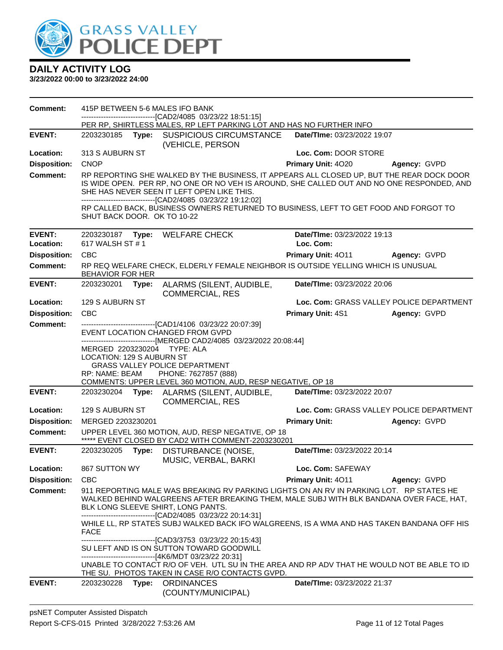

| <b>Comment:</b>     |                             |       | 415P BETWEEN 5-6 MALES IFO BANK                                                                                                                                                                                                                                                                                                                                                                 |                             |                                          |
|---------------------|-----------------------------|-------|-------------------------------------------------------------------------------------------------------------------------------------------------------------------------------------------------------------------------------------------------------------------------------------------------------------------------------------------------------------------------------------------------|-----------------------------|------------------------------------------|
|                     |                             |       | --------------------------[CAD2/4085_03/23/22 18:51:15]<br>PER RP, SHIRTLESS MALES, RP LEFT PARKING LOT AND HAS NO FURTHER INFO                                                                                                                                                                                                                                                                 |                             |                                          |
| <b>EVENT:</b>       | 2203230185                  |       | Type: SUSPICIOUS CIRCUMSTANCE<br>(VEHICLE, PERSON                                                                                                                                                                                                                                                                                                                                               | Date/TIme: 03/23/2022 19:07 |                                          |
| Location:           | 313 S AUBURN ST             |       |                                                                                                                                                                                                                                                                                                                                                                                                 | Loc. Com: DOOR STORE        |                                          |
| <b>Disposition:</b> | <b>CNOP</b>                 |       |                                                                                                                                                                                                                                                                                                                                                                                                 | Primary Unit: 4020          | Agency: GVPD                             |
| <b>Comment:</b>     | SHUT BACK DOOR. OK TO 10-22 |       | RP REPORTING SHE WALKED BY THE BUSINESS, IT APPEARS ALL CLOSED UP, BUT THE REAR DOCK DOOR<br>IS WIDE OPEN. PER RP, NO ONE OR NO VEH IS AROUND, SHE CALLED OUT AND NO ONE RESPONDED, AND<br>SHE HAS NEVER SEEN IT LEFT OPEN LIKE THIS.<br>---------------------------------[CAD2/4085 03/23/22 19:12:02]<br>RP CALLED BACK, BUSINESS OWNERS RETURNED TO BUSINESS, LEFT TO GET FOOD AND FORGOT TO |                             |                                          |
| <b>EVENT:</b>       |                             |       | 2203230187 Type: WELFARE CHECK                                                                                                                                                                                                                                                                                                                                                                  | Date/TIme: 03/23/2022 19:13 |                                          |
| Location:           | 617 WALSH ST #1             |       |                                                                                                                                                                                                                                                                                                                                                                                                 | Loc. Com:                   |                                          |
| <b>Disposition:</b> | <b>CBC</b>                  |       |                                                                                                                                                                                                                                                                                                                                                                                                 | <b>Primary Unit: 4011</b>   | Agency: GVPD                             |
| <b>Comment:</b>     | BEHAVIOR FOR HER            |       | RP REQ WELFARE CHECK, ELDERLY FEMALE NEIGHBOR IS OUTSIDE YELLING WHICH IS UNUSUAL                                                                                                                                                                                                                                                                                                               |                             |                                          |
| <b>EVENT:</b>       | 2203230201 Type:            |       | ALARMS (SILENT, AUDIBLE,<br><b>COMMERCIAL, RES</b>                                                                                                                                                                                                                                                                                                                                              | Date/TIme: 03/23/2022 20:06 |                                          |
| Location:           | 129 S AUBURN ST             |       |                                                                                                                                                                                                                                                                                                                                                                                                 |                             | Loc. Com: GRASS VALLEY POLICE DEPARTMENT |
| <b>Disposition:</b> | <b>CBC</b>                  |       |                                                                                                                                                                                                                                                                                                                                                                                                 | <b>Primary Unit: 4S1</b>    | Agency: GVPD                             |
| Comment:            |                             |       | ------------------------[CAD1/4106_03/23/22 20:07:39]<br>EVENT LOCATION CHANGED FROM GVPD                                                                                                                                                                                                                                                                                                       |                             |                                          |
|                     | LOCATION: 129 S AUBURN ST   |       | -------------------------------[MERGED CAD2/4085 03/23/2022 20:08:44]<br>MERGED 2203230204 TYPE: ALA<br><b>GRASS VALLEY POLICE DEPARTMENT</b>                                                                                                                                                                                                                                                   |                             |                                          |
|                     | RP: NAME: BEAM              |       | PHONE: 7627857 (888)<br>COMMENTS: UPPER LEVEL 360 MOTION, AUD, RESP NEGATIVE, OP 18                                                                                                                                                                                                                                                                                                             |                             |                                          |
| <b>EVENT:</b>       |                             |       | 2203230204 Type: ALARMS (SILENT, AUDIBLE,<br><b>COMMERCIAL, RES</b>                                                                                                                                                                                                                                                                                                                             | Date/TIme: 03/23/2022 20:07 |                                          |
| Location:           | 129 S AUBURN ST             |       |                                                                                                                                                                                                                                                                                                                                                                                                 |                             | Loc. Com: GRASS VALLEY POLICE DEPARTMENT |
| <b>Disposition:</b> | MERGED 2203230201           |       |                                                                                                                                                                                                                                                                                                                                                                                                 | <b>Primary Unit:</b>        | Agency: GVPD                             |
| Comment:            |                             |       | UPPER LEVEL 360 MOTION, AUD, RESP NEGATIVE, OP 18<br>***** EVENT CLOSED BY CAD2 WITH COMMENT-2203230201                                                                                                                                                                                                                                                                                         |                             |                                          |
| <b>EVENT:</b>       | 2203230205                  | Type: | DISTURBANCE (NOISE,<br>MUSIC, VERBAL, BARKI                                                                                                                                                                                                                                                                                                                                                     | Date/TIme: 03/23/2022 20:14 |                                          |
| <b>Location:</b>    | 867 SUTTON WY               |       |                                                                                                                                                                                                                                                                                                                                                                                                 | Loc. Com: SAFEWAY           |                                          |
| <b>Disposition:</b> | <b>CBC</b>                  |       |                                                                                                                                                                                                                                                                                                                                                                                                 | Primary Unit: 4011          | Agency: GVPD                             |
| <b>Comment:</b>     |                             |       | 911 REPORTING MALE WAS BREAKING RV PARKING LIGHTS ON AN RV IN PARKING LOT. RP STATES HE<br>WALKED BEHIND WALGREENS AFTER BREAKING THEM, MALE SUBJ WITH BLK BANDANA OVER FACE, HAT,<br>BLK LONG SLEEVE SHIRT, LONG PANTS.<br>--------------------------------[CAD2/4085 03/23/22 20:14:31]<br>WHILE LL, RP STATES SUBJ WALKED BACK IFO WALGREENS, IS A WMA AND HAS TAKEN BANDANA OFF HIS         |                             |                                          |
|                     | <b>FACE</b>                 |       | SU LEFT AND IS ON SUTTON TOWARD GOODWILL<br>-------------------------------[4K6/MDT 03/23/22 20:31]<br>UNABLE TO CONTACT R/O OF VEH. UTL SU IN THE AREA AND RP ADV THAT HE WOULD NOT BE ABLE TO ID<br>THE SU. PHOTOS TAKEN IN CASE R/O CONTACTS GVPD.                                                                                                                                           |                             |                                          |
| <b>EVENT:</b>       | 2203230228                  |       | Type: ORDINANCES<br>(COUNTY/MUNICIPAL)                                                                                                                                                                                                                                                                                                                                                          | Date/TIme: 03/23/2022 21:37 |                                          |